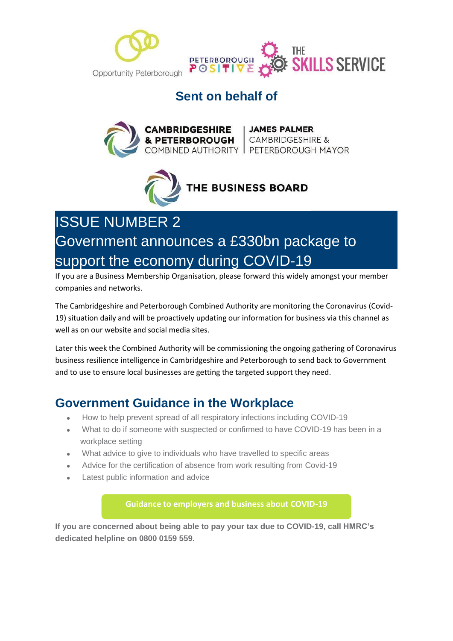



#### **Sent on behalf of**





# ISSUE NUMBER 2 Government announces a £330bn package to support the economy during COVID-19

If you are a Business Membership Organisation, please forward this widely amongst your member companies and networks.

The Cambridgeshire and Peterborough Combined Authority are monitoring the Coronavirus (Covid-19) situation daily and will be proactively updating our information for business via this channel as well as on our website and social media sites.

Later this week the Combined Authority will be commissioning the ongoing gathering of Coronavirus business resilience intelligence in Cambridgeshire and Peterborough to send back to Government and to use to ensure local businesses are getting the targeted support they need.

#### **Government Guidance in the Workplace**

- How to help prevent spread of all respiratory infections including COVID-19
- What to do if someone with suspected or confirmed to have COVID-19 has been in a workplace setting
- What advice to give to individuals who have travelled to specific areas
- Advice for the certification of absence from work resulting from Covid-19
- Latest public information and advice

**[Guidance to employers and business about COVID-19](https://www.gov.uk/government/publications/guidance-to-employers-and-businesses-about-covid-19?utm_source=hs_email&utm_medium=email&utm_content=2&_hsenc=p2ANqtz-_8ljY9XCSyZgA-bjEYY70PPuuQgpUq3XKA9eXRcCbNQavh2grL5YNnxRuUCHzo_NG1TwyswVSqbTxvjSdI8kKPs9ziTRtLXSKkJr3zZxxflxhr8UGsSkqdZat4Hb3dwv7uEeH9&_hsmi=2)**

**If you are concerned about being able to pay your tax due to COVID-19, call HMRC's dedicated helpline on 0800 0159 559.**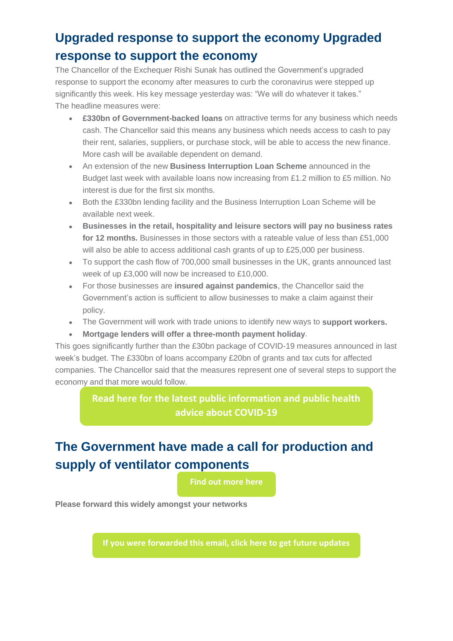## **Upgraded response to support the economy Upgraded response to support the economy**

The Chancellor of the Exchequer Rishi Sunak has outlined the Government's upgraded response to support the economy after measures to curb the coronavirus were stepped up significantly this week. His key message yesterday was: "We will do whatever it takes." The headline measures were:

- **£330bn of Government-backed loans** on attractive terms for any business which needs cash. The Chancellor said this means any business which needs access to cash to pay their rent, salaries, suppliers, or purchase stock, will be able to access the new finance. More cash will be available dependent on demand.
- An extension of the new **Business Interruption Loan Scheme** announced in the Budget last week with available loans now increasing from £1.2 million to £5 million. No interest is due for the first six months.
- Both the £330bn lending facility and the Business Interruption Loan Scheme will be available next week.
- **Businesses in the retail, hospitality and leisure sectors will pay no business rates for 12 months.** Businesses in those sectors with a rateable value of less than £51,000 will also be able to access additional cash grants of up to £25,000 per business.
- To support the cash flow of 700,000 small businesses in the UK, grants announced last week of up £3,000 will now be increased to £10,000.
- For those businesses are **insured against pandemics**, the Chancellor said the Government's action is sufficient to allow businesses to make a claim against their policy.
- The Government will work with trade unions to identify new ways to **support workers.**
- **Mortgage lenders will offer a three-month payment holiday**.

This goes significantly further than the £30bn package of COVID-19 measures announced in last week's budget. The £330bn of loans accompany £20bn of grants and tax cuts for affected companies. The Chancellor said that the measures represent one of several steps to support the economy and that more would follow.

> **[Read here for the latest public information and public health](https://www.gov.uk/guidance/coronavirus-covid-19-information-for-the-public?utm_source=hs_email&utm_medium=email&utm_content=2&_hsenc=p2ANqtz-_8ljY9XCSyZgA-bjEYY70PPuuQgpUq3XKA9eXRcCbNQavh2grL5YNnxRuUCHzo_NG1TwyswVSqbTxvjSdI8kKPs9ziTRtLXSKkJr3zZxxflxhr8UGsSkqdZat4Hb3dwv7uEeH9&_hsmi=2)  advice about COVID-19**

## **The Government have made a call for production and supply of ventilator components**

**[Find out more here](https://ventilator.herokuapp.com/?utm_source=hs_email&utm_medium=email&utm_content=2&_hsenc=p2ANqtz-_8ljY9XCSyZgA-bjEYY70PPuuQgpUq3XKA9eXRcCbNQavh2grL5YNnxRuUCHzo_NG1TwyswVSqbTxvjSdI8kKPs9ziTRtLXSKkJr3zZxxflxhr8UGsSkqdZat4Hb3dwv7uEeH9&_hsmi=2)**

**Please forward this widely amongst your networks**

**[If you were forwarded this email, click here to get future updates](http://100khomes-co-uk-6985942.hs-sites.com/en-gb/cpca-covid19-businessresiliencesignup?utm_source=hs_email&utm_medium=email&utm_content=2&_hsenc=p2ANqtz-_8ljY9XCSyZgA-bjEYY70PPuuQgpUq3XKA9eXRcCbNQavh2grL5YNnxRuUCHzo_NG1TwyswVSqbTxvjSdI8kKPs9ziTRtLXSKkJr3zZxxflxhr8UGsSkqdZat4Hb3dwv7uEeH9&_hsmi=2)**